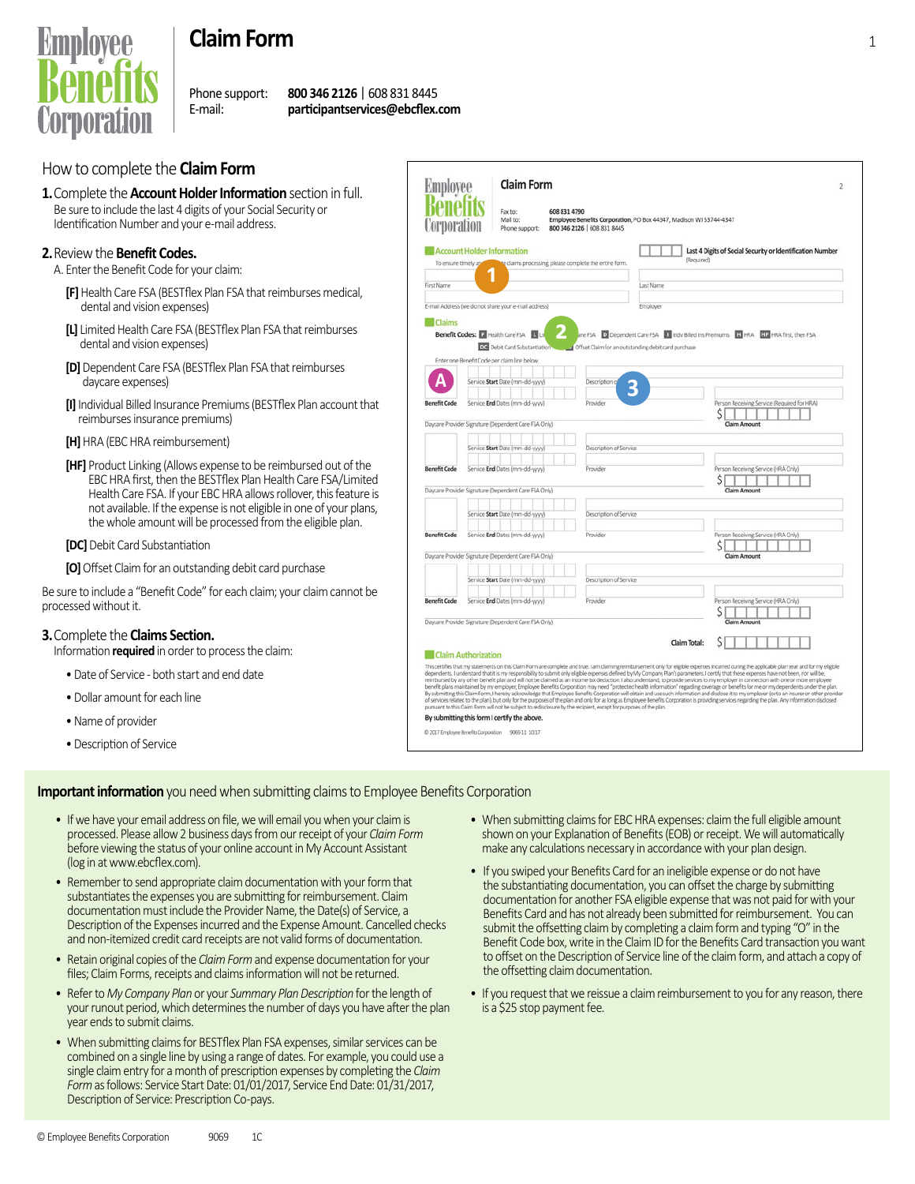

# **Claim Form** <sup>1</sup>

Phone support: **800 346 2126** | 608 831 8445 E-mail: **participantservices@ebcflex.com**

## How to complete the **Claim Form**

**1.** Complete the **Account Holder Information** section in full. Be sure to include the last 4 digits of your Social Security or Identification Number and your e-mail address.

#### **2.** Review the **Benefit Codes.**

A. Enter the Benefit Code for your claim:

- **[F]** Health Care FSA (BESTflex Plan FSA that reimburses medical, dental and vision expenses)
- **[L]** Limited Health Care FSA (BESTflex Plan FSA that reimburses dental and vision expenses)
- **[D]** Dependent Care FSA (BESTflex Plan FSA that reimburses daycare expenses)
- **[I]** Individual Billed Insurance Premiums (BESTflex Plan account that reimburses insurance premiums)
- **[H]** HRA (EBC HRA reimbursement)
- **[HF]** Product Linking (Allows expense to be reimbursed out of the EBC HRA first, then the BESTflex Plan Health Care FSA/Limited Health Care FSA. If your EBC HRA allows rollover, this feature is not available. If the expense is not eligible in one of your plans, the whole amount will be processed from the eligible plan.
- **[DC]** Debit Card Substantiation

**[O]** Offset Claim for an outstanding debit card purchase

Be sure to include a "Benefit Code" for each claim; your claim cannot be processed without it.

#### **3.** Complete the **Claims Section.**

Information **required** in order to process the claim:

- Date of Service both start and end date
- Dollar amount for each line
- Name of provider
- Description of Service

| <b>Employee</b>     | <b>Claim Form</b>                                    |                                                        |                                                                    |                                                                                                                                                                                                                                                                                                                                                                                                                                                                                                                                                                                              |  |
|---------------------|------------------------------------------------------|--------------------------------------------------------|--------------------------------------------------------------------|----------------------------------------------------------------------------------------------------------------------------------------------------------------------------------------------------------------------------------------------------------------------------------------------------------------------------------------------------------------------------------------------------------------------------------------------------------------------------------------------------------------------------------------------------------------------------------------------|--|
|                     |                                                      |                                                        |                                                                    |                                                                                                                                                                                                                                                                                                                                                                                                                                                                                                                                                                                              |  |
|                     | Fax to:                                              | 608 831 4790                                           |                                                                    |                                                                                                                                                                                                                                                                                                                                                                                                                                                                                                                                                                                              |  |
| <i>corporatio</i>   | Mail to:<br>Phone support:                           | 800 346 2126   608 831 8445                            | Employee Benefits Corporation, PO Box 44347, Madison WI 53744-4347 |                                                                                                                                                                                                                                                                                                                                                                                                                                                                                                                                                                                              |  |
|                     |                                                      |                                                        |                                                                    |                                                                                                                                                                                                                                                                                                                                                                                                                                                                                                                                                                                              |  |
|                     | <b>Account Holder Information</b>                    |                                                        |                                                                    | Last 4 Digits of Social Security or Identification Number                                                                                                                                                                                                                                                                                                                                                                                                                                                                                                                                    |  |
| To ensure timely ag |                                                      | te claims processing, please complete the entire form. | (Required)                                                         |                                                                                                                                                                                                                                                                                                                                                                                                                                                                                                                                                                                              |  |
|                     |                                                      |                                                        |                                                                    |                                                                                                                                                                                                                                                                                                                                                                                                                                                                                                                                                                                              |  |
| First Name          |                                                      |                                                        | Last Name                                                          |                                                                                                                                                                                                                                                                                                                                                                                                                                                                                                                                                                                              |  |
|                     |                                                      |                                                        |                                                                    |                                                                                                                                                                                                                                                                                                                                                                                                                                                                                                                                                                                              |  |
|                     | E-mail Address (we do not share your e-mail address) |                                                        | Employer                                                           |                                                                                                                                                                                                                                                                                                                                                                                                                                                                                                                                                                                              |  |
| <b>Claims</b>       |                                                      |                                                        |                                                                    |                                                                                                                                                                                                                                                                                                                                                                                                                                                                                                                                                                                              |  |
|                     |                                                      |                                                        |                                                                    |                                                                                                                                                                                                                                                                                                                                                                                                                                                                                                                                                                                              |  |
|                     | Benefit Codes: F Health Care FSA                     |                                                        |                                                                    | are FSA D Dependent Care FSA   I Indv Billed Ins Premiums   EL HRA   HRA first, then FSA                                                                                                                                                                                                                                                                                                                                                                                                                                                                                                     |  |
|                     | DC Debit Card Substantiation                         |                                                        | Offset Claim for an outstanding debit card purchase                |                                                                                                                                                                                                                                                                                                                                                                                                                                                                                                                                                                                              |  |
|                     | Enter one Benefit Code per claim line below.         |                                                        |                                                                    |                                                                                                                                                                                                                                                                                                                                                                                                                                                                                                                                                                                              |  |
|                     |                                                      |                                                        |                                                                    |                                                                                                                                                                                                                                                                                                                                                                                                                                                                                                                                                                                              |  |
|                     | Service Start Date (mm-dd-ywy)                       | Description o                                          |                                                                    |                                                                                                                                                                                                                                                                                                                                                                                                                                                                                                                                                                                              |  |
|                     |                                                      |                                                        |                                                                    |                                                                                                                                                                                                                                                                                                                                                                                                                                                                                                                                                                                              |  |
| <b>Benefit Code</b> | Service End Dates (mm-dd-yyyy)                       | Provider                                               |                                                                    | Person Receiving Service (Required for HRA)                                                                                                                                                                                                                                                                                                                                                                                                                                                                                                                                                  |  |
|                     |                                                      |                                                        |                                                                    | Ś                                                                                                                                                                                                                                                                                                                                                                                                                                                                                                                                                                                            |  |
|                     | Daycare Provider Signature (Dependent Care FSA Only) |                                                        |                                                                    | Claim Amount                                                                                                                                                                                                                                                                                                                                                                                                                                                                                                                                                                                 |  |
|                     |                                                      |                                                        |                                                                    |                                                                                                                                                                                                                                                                                                                                                                                                                                                                                                                                                                                              |  |
|                     | Service Start Date (mm-dd-yyyy)                      | Description of Service                                 |                                                                    |                                                                                                                                                                                                                                                                                                                                                                                                                                                                                                                                                                                              |  |
|                     |                                                      |                                                        |                                                                    |                                                                                                                                                                                                                                                                                                                                                                                                                                                                                                                                                                                              |  |
| <b>Benefit Code</b> | Service End Dates (mm-dd-yyyy)                       | Provider                                               |                                                                    | Person Receiving Service (HRA Only)                                                                                                                                                                                                                                                                                                                                                                                                                                                                                                                                                          |  |
|                     |                                                      |                                                        |                                                                    | Ś                                                                                                                                                                                                                                                                                                                                                                                                                                                                                                                                                                                            |  |
|                     | Daycare Provider Signature (Dependent Care FSA Only) |                                                        |                                                                    | Claim Amount                                                                                                                                                                                                                                                                                                                                                                                                                                                                                                                                                                                 |  |
|                     |                                                      |                                                        |                                                                    |                                                                                                                                                                                                                                                                                                                                                                                                                                                                                                                                                                                              |  |
|                     | Service Start Date (mm-dd-ywy)                       | Description of Service                                 |                                                                    |                                                                                                                                                                                                                                                                                                                                                                                                                                                                                                                                                                                              |  |
|                     |                                                      |                                                        |                                                                    |                                                                                                                                                                                                                                                                                                                                                                                                                                                                                                                                                                                              |  |
| <b>Benefit Code</b> | Service End Dates (mm-dd-yyyy)                       | Provider                                               |                                                                    | Person Receiving Service (HRA Only)                                                                                                                                                                                                                                                                                                                                                                                                                                                                                                                                                          |  |
|                     |                                                      |                                                        |                                                                    |                                                                                                                                                                                                                                                                                                                                                                                                                                                                                                                                                                                              |  |
|                     | Daycare Provider Signature (Dependent Care FSA Only) |                                                        |                                                                    | <b>Claim Amount</b>                                                                                                                                                                                                                                                                                                                                                                                                                                                                                                                                                                          |  |
|                     |                                                      |                                                        |                                                                    |                                                                                                                                                                                                                                                                                                                                                                                                                                                                                                                                                                                              |  |
|                     | Service Start Date (mm-dd-yyyy)                      | Description of Service                                 |                                                                    |                                                                                                                                                                                                                                                                                                                                                                                                                                                                                                                                                                                              |  |
|                     |                                                      |                                                        |                                                                    |                                                                                                                                                                                                                                                                                                                                                                                                                                                                                                                                                                                              |  |
|                     | Service End Dates (mm-dd-yyyy)                       | Provider                                               |                                                                    | Person Receiving Service (HRA Only)                                                                                                                                                                                                                                                                                                                                                                                                                                                                                                                                                          |  |
| <b>Benefit Code</b> |                                                      |                                                        |                                                                    | S                                                                                                                                                                                                                                                                                                                                                                                                                                                                                                                                                                                            |  |
|                     |                                                      |                                                        |                                                                    | Claim Amount                                                                                                                                                                                                                                                                                                                                                                                                                                                                                                                                                                                 |  |
|                     | Daycare Provider Signature (Dependent Care FSA Only) |                                                        |                                                                    |                                                                                                                                                                                                                                                                                                                                                                                                                                                                                                                                                                                              |  |
|                     |                                                      |                                                        |                                                                    |                                                                                                                                                                                                                                                                                                                                                                                                                                                                                                                                                                                              |  |
|                     |                                                      |                                                        | Claim Total:                                                       |                                                                                                                                                                                                                                                                                                                                                                                                                                                                                                                                                                                              |  |
|                     | <b>Claim Authorization</b>                           |                                                        |                                                                    |                                                                                                                                                                                                                                                                                                                                                                                                                                                                                                                                                                                              |  |
|                     |                                                      |                                                        |                                                                    | This certifies that my statements on this Claim Form are complete and true. I am claiming reimbursement only for eligible expenses incurred during the applicable plan year and for my eligible                                                                                                                                                                                                                                                                                                                                                                                              |  |
|                     |                                                      |                                                        |                                                                    | dependents. I understand that it is my responsibility to submit only eligible expenses defined by My Company Plan's parameters. I certify that these expenses have not been, nor will be,<br>reimbursed by any other benefit plan and will not be claimed as an income tax deduction. I also understand, to provide services to my employer in connection with one or more employee                                                                                                                                                                                                          |  |
|                     |                                                      |                                                        |                                                                    | benefit plans maintained by my employer, Employee Benefits Corporation may need "protected health information" regarding coverage or benefits for me or my dependents under the plan.<br>By submitting this Claim Form, I hereby adknowledge that Employee Benefits Corporation will obtain and use such information and disclose it to my employer (or to an insurer or other provider<br>of services related to the plan), but only for the purposes of the plan and only for as long as Employee Benefits Corporation is providing services regarding the plan. Any information disclosed |  |

#### **Important information** you need when submitting claims to Employee Benefits Corporation

- If we have your email address on file, we will email you when your claim is processed. Please allow 2 business days from our receipt of your *Claim Form* before viewing the status of your online account in My Account Assistant (log in at www.ebcflex.com).
- Remember to send appropriate claim documentation with your form that substantiates the expenses you are submitting for reimbursement. Claim documentation must include the Provider Name, the Date(s) of Service, a Description of the Expenses incurred and the Expense Amount. Cancelled checks and non-itemized credit card receipts are not valid forms of documentation.
- Retain original copies of the *Claim Form* and expense documentation for your files; Claim Forms, receipts and claims information will not be returned.
- Refer to *My Company Plan* or your *Summary Plan Description* for the length of your runout period, which determines the number of days you have after the plan year ends to submit claims.
- When submitting claims for BESTflex Plan FSA expenses, similar services can be combined on a single line by using a range of dates. For example, you could use a single claim entry for a month of prescription expenses by completing the *Claim Form* as follows: Service Start Date: 01/01/2017, Service End Date: 01/31/2017, Description of Service: Prescription Co-pays.
- When submitting claims for EBC HRA expenses: claim the full eligible amount shown on your Explanation of Benefits (EOB) or receipt. We will automatically make any calculations necessary in accordance with your plan design.
- If you swiped your Benefits Card for an ineligible expense or do not have the substantiating documentation, you can offset the charge by submitting documentation for another FSA eligible expense that was not paid for with your Benefits Card and has not already been submitted for reimbursement. You can submit the offsetting claim by completing a claim form and typing "O" in the Benefit Code box, write in the Claim ID for the Benefits Card transaction you want to offset on the Description of Service line of the claim form, and attach a copy of the offsetting claim documentation.
- If you request that we reissue a claim reimbursement to you for any reason, there is a \$25 stop payment fee.